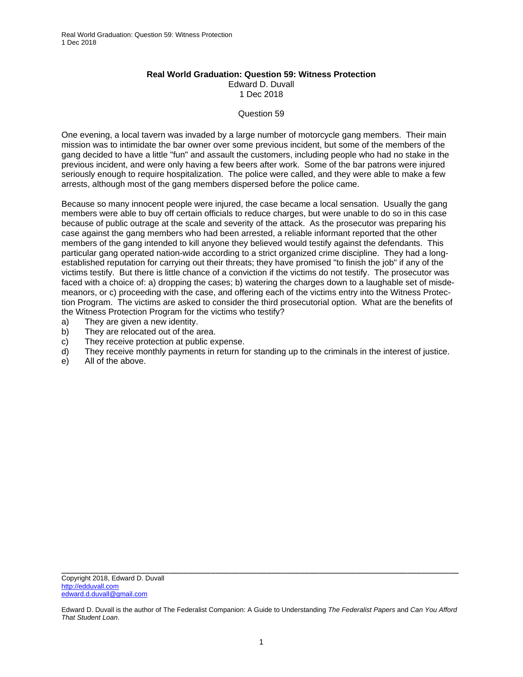## **Real World Graduation: Question 59: Witness Protection**  Edward D. Duvall 1 Dec 2018

## Question 59

One evening, a local tavern was invaded by a large number of motorcycle gang members. Their main mission was to intimidate the bar owner over some previous incident, but some of the members of the gang decided to have a little "fun" and assault the customers, including people who had no stake in the previous incident, and were only having a few beers after work. Some of the bar patrons were injured seriously enough to require hospitalization. The police were called, and they were able to make a few arrests, although most of the gang members dispersed before the police came.

Because so many innocent people were injured, the case became a local sensation. Usually the gang members were able to buy off certain officials to reduce charges, but were unable to do so in this case because of public outrage at the scale and severity of the attack. As the prosecutor was preparing his case against the gang members who had been arrested, a reliable informant reported that the other members of the gang intended to kill anyone they believed would testify against the defendants. This particular gang operated nation-wide according to a strict organized crime discipline. They had a longestablished reputation for carrying out their threats; they have promised "to finish the job" if any of the victims testify. But there is little chance of a conviction if the victims do not testify. The prosecutor was faced with a choice of: a) dropping the cases; b) watering the charges down to a laughable set of misdemeanors, or c) proceeding with the case, and offering each of the victims entry into the Witness Protection Program. The victims are asked to consider the third prosecutorial option. What are the benefits of the Witness Protection Program for the victims who testify?

- a) They are given a new identity.
- b) They are relocated out of the area.
- c) They receive protection at public expense.
- d) They receive monthly payments in return for standing up to the criminals in the interest of justice.
- e) All of the above.

Edward D. Duvall is the author of The Federalist Companion: A Guide to Understanding *The Federalist Papers* and *Can You Afford That Student Loan*.